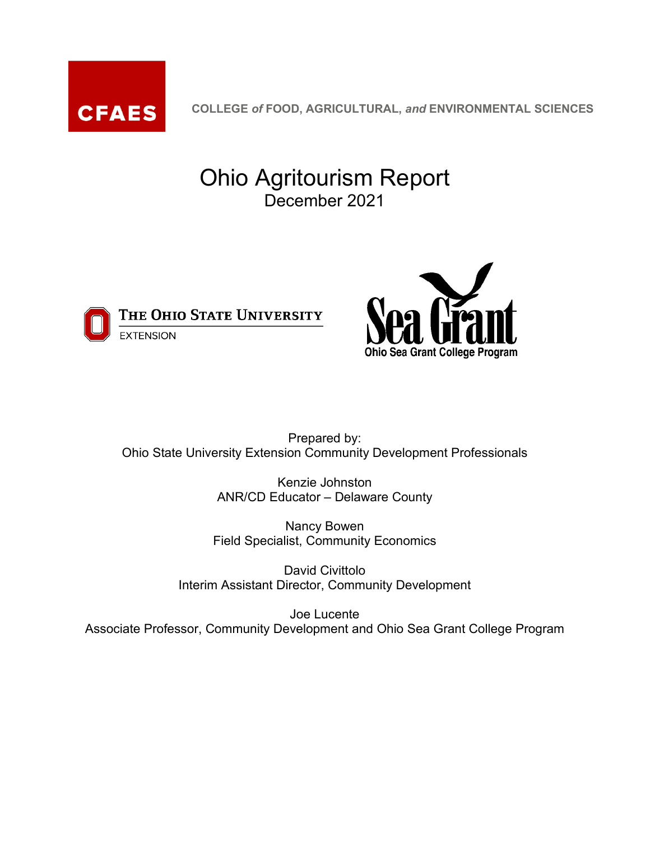

**COLLEGE** *of* **FOOD, AGRICULTURAL,** *and* **ENVIRONMENTAL SCIENCES**

# Ohio Agritourism Report December 2021



THE OHIO STATE UNIVERSITY **EXTENSION** 



Prepared by: Ohio State University Extension Community Development Professionals

> Kenzie Johnston ANR/CD Educator – Delaware County

Nancy Bowen Field Specialist, Community Economics

David Civittolo Interim Assistant Director, Community Development

Joe Lucente Associate Professor, Community Development and Ohio Sea Grant College Program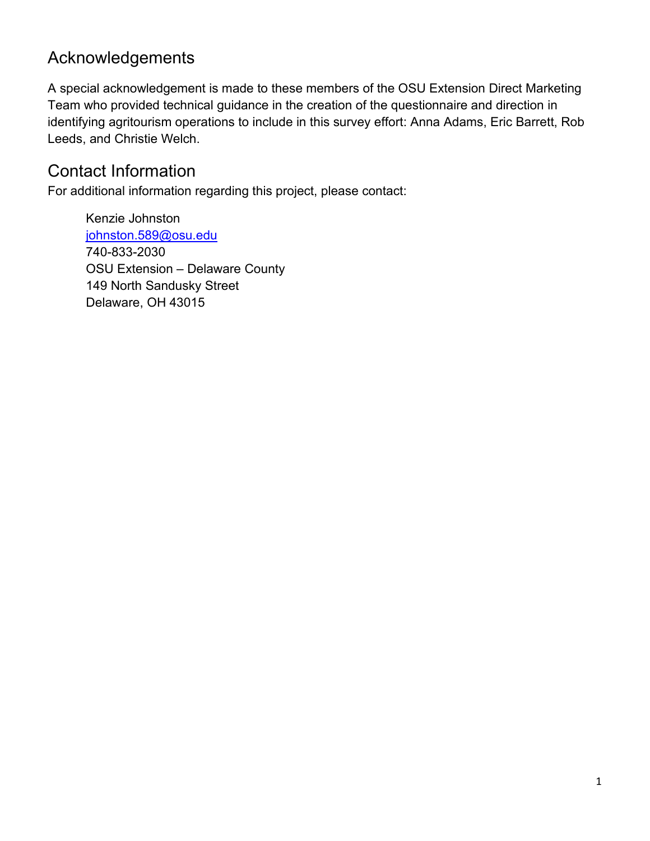### <span id="page-1-0"></span>Acknowledgements

A special acknowledgement is made to these members of the OSU Extension Direct Marketing Team who provided technical guidance in the creation of the questionnaire and direction in identifying agritourism operations to include in this survey effort: Anna Adams, Eric Barrett, Rob Leeds, and Christie Welch.

### <span id="page-1-1"></span>Contact Information

For additional information regarding this project, please contact:

Kenzie Johnston [johnston.589@osu.edu](mailto:johnston.589@osu.edu) 740-833-2030 OSU Extension – Delaware County 149 North Sandusky Street Delaware, OH 43015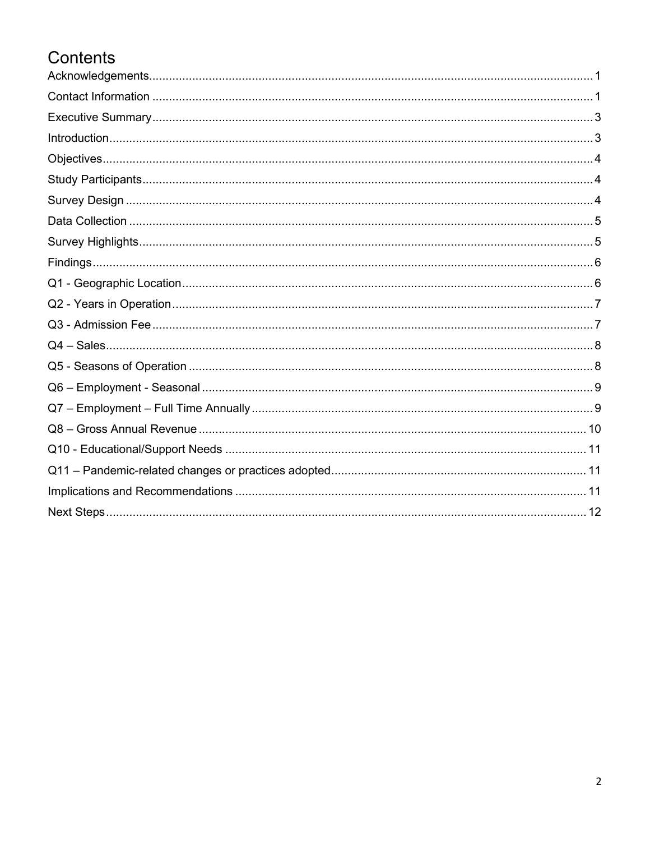# Contents

| $In traditional.\ 3$ |
|----------------------|
|                      |
|                      |
|                      |
|                      |
|                      |
|                      |
|                      |
|                      |
|                      |
|                      |
|                      |
|                      |
|                      |
|                      |
|                      |
|                      |
|                      |
|                      |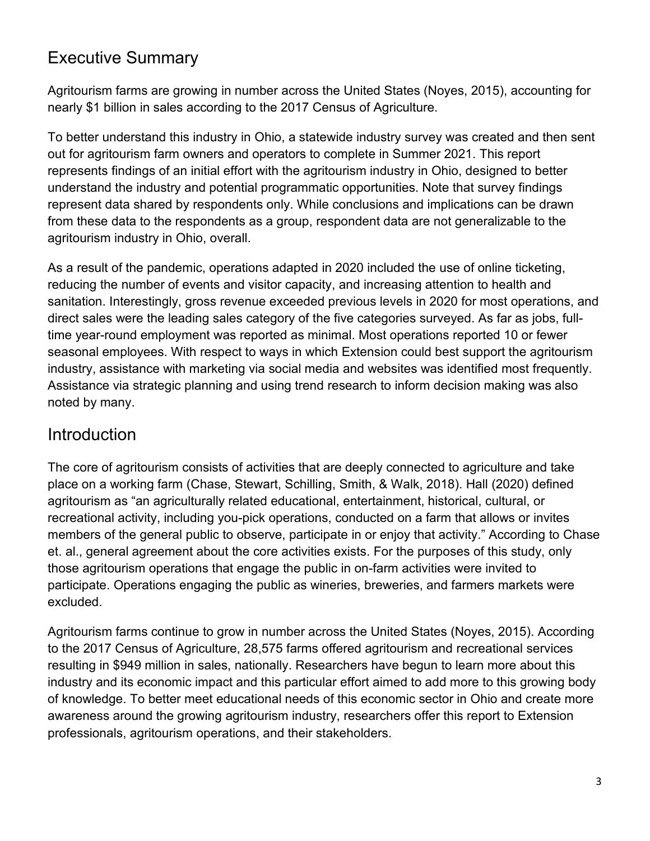## <span id="page-3-0"></span>Executive Summary

Agritourism farms are growing in number across the United States (Noyes, 2015), accounting for nearly \$1 billion in sales according to the 2017 Census of Agriculture.

To better understand this industry in Ohio, a statewide industry survey was created and then sent out for agritourism farm owners and operators to complete in Summer 2021. This report represents findings of an initial effort with the agritourism industry in Ohio, designed to better understand the industry and potential programmatic opportunities. Note that survey findings represent data shared by respondents only. While conclusions and implications can be drawn from these data to the respondents as a group, respondent data are not generalizable to the agritourism industry in Ohio, overall.

As a result of the pandemic, operations adapted in 2020 included the use of online ticketing, reducing the number of events and visitor capacity, and increasing attention to health and sanitation. Interestingly, gross revenue exceeded previous levels in 2020 for most operations, and direct sales were the leading sales category of the five categories surveyed. As far as jobs, fulltime year-round employment was reported as minimal. Most operations reported 10 or fewer seasonal employees. With respect to ways in which Extension could best support the agritourism industry, assistance with marketing via social media and websites was identified most frequently. Assistance via strategic planning and using trend research to inform decision making was also noted by many.

### <span id="page-3-1"></span>Introduction

The core of agritourism consists of activities that are deeply connected to agriculture and take place on a working farm (Chase, Stewart, Schilling, Smith, & Walk, 2018). Hall (2020) defined agritourism as "an agriculturally related educational, entertainment, historical, cultural, or recreational activity, including you-pick operations, conducted on a farm that allows or invites members of the general public to observe, participate in or enjoy that activity." According to Chase et. al., general agreement about the core activities exists. For the purposes of this study, only those agritourism operations that engage the public in on-farm activities were invited to participate. Operations engaging the public as wineries, breweries, and farmers markets were excluded.

Agritourism farms continue to grow in number across the United States (Noyes, 2015). According to the 2017 Census of Agriculture, 28,575 farms offered agritourism and recreational services resulting in \$949 million in sales, nationally. Researchers have begun to learn more about this industry and its economic impact and this particular effort aimed to add more to this growing body of knowledge. To better meet educational needs of this economic sector in Ohio and create more awareness around the growing agritourism industry, researchers offer this report to Extension professionals, agritourism operations, and their stakeholders.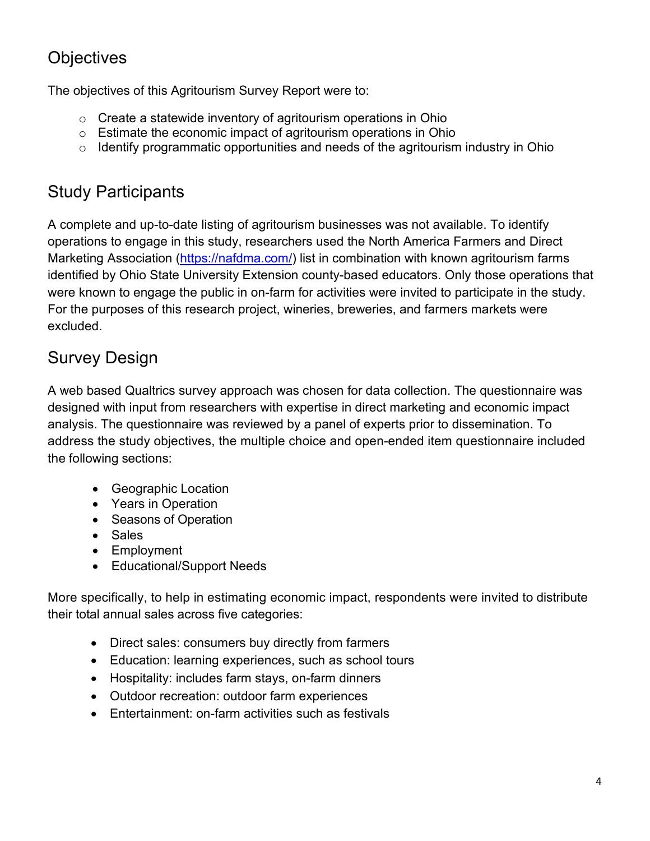# <span id="page-4-0"></span>**Objectives**

The objectives of this Agritourism Survey Report were to:

- o Create a statewide inventory of agritourism operations in Ohio
- o Estimate the economic impact of agritourism operations in Ohio
- $\circ$  Identify programmatic opportunities and needs of the agritourism industry in Ohio

## <span id="page-4-1"></span>Study Participants

A complete and up-to-date listing of agritourism businesses was not available. To identify operations to engage in this study, researchers used the North America Farmers and Direct Marketing Association [\(https://nafdma.com/\)](https://nafdma.com/) list in combination with known agritourism farms identified by Ohio State University Extension county-based educators. Only those operations that were known to engage the public in on-farm for activities were invited to participate in the study. For the purposes of this research project, wineries, breweries, and farmers markets were excluded.

# <span id="page-4-2"></span>Survey Design

A web based Qualtrics survey approach was chosen for data collection. The questionnaire was designed with input from researchers with expertise in direct marketing and economic impact analysis. The questionnaire was reviewed by a panel of experts prior to dissemination. To address the study objectives, the multiple choice and open-ended item questionnaire included the following sections:

- Geographic Location
- Years in Operation
- Seasons of Operation
- Sales
- Employment
- Educational/Support Needs

More specifically, to help in estimating economic impact, respondents were invited to distribute their total annual sales across five categories:

- Direct sales: consumers buy directly from farmers
- Education: learning experiences, such as school tours
- Hospitality: includes farm stays, on-farm dinners
- Outdoor recreation: outdoor farm experiences
- Entertainment: on-farm activities such as festivals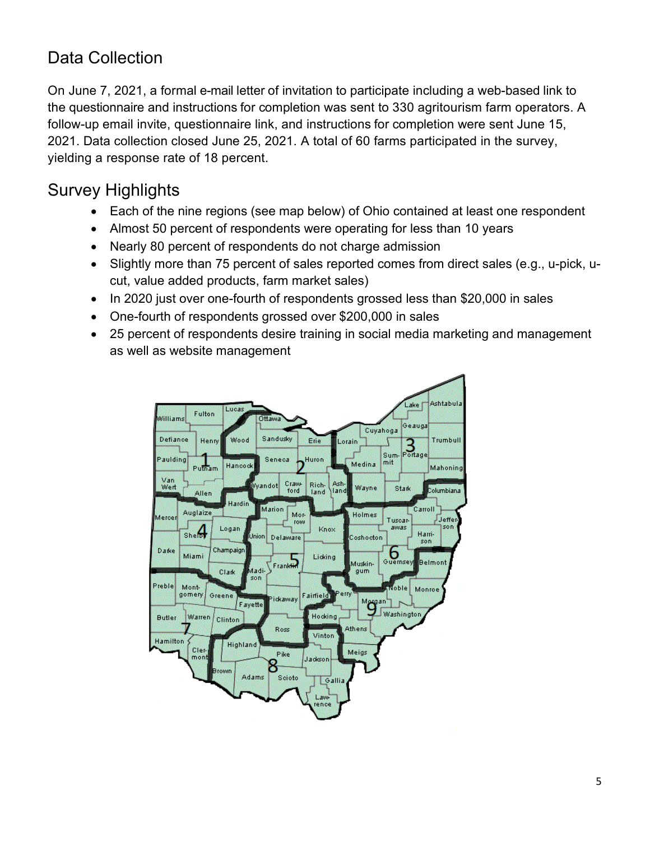# <span id="page-5-0"></span>Data Collection

On June 7, 2021, a formal e-mail letter of invitation to participate including a web-based link to the questionnaire and instructions for completion was sent to 330 agritourism farm operators. A follow-up email invite, questionnaire link, and instructions for completion were sent June 15, 2021. Data collection closed June 25, 2021. A total of 60 farms participated in the survey, yielding a response rate of 18 percent.

# <span id="page-5-1"></span>Survey Highlights

- Each of the nine regions (see map below) of Ohio contained at least one respondent
- Almost 50 percent of respondents were operating for less than 10 years
- Nearly 80 percent of respondents do not charge admission
- Slightly more than 75 percent of sales reported comes from direct sales (e.g., u-pick, ucut, value added products, farm market sales)
- In 2020 just over one-fourth of respondents grossed less than \$20,000 in sales
- One-fourth of respondents grossed over \$200,000 in sales
- 25 percent of respondents desire training in social media marketing and management as well as website management

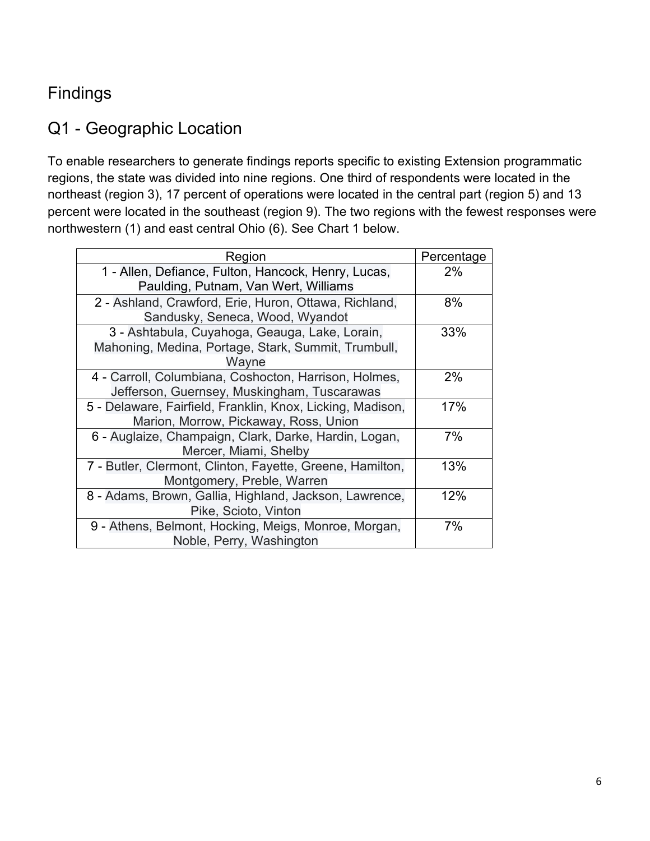## <span id="page-6-0"></span>Findings

## <span id="page-6-1"></span>Q1 - Geographic Location

To enable researchers to generate findings reports specific to existing Extension programmatic regions, the state was divided into nine regions. One third of respondents were located in the northeast (region 3), 17 percent of operations were located in the central part (region 5) and 13 percent were located in the southeast (region 9). The two regions with the fewest responses were northwestern (1) and east central Ohio (6). See Chart 1 below.

| Region                                                     | Percentage |
|------------------------------------------------------------|------------|
| 1 - Allen, Defiance, Fulton, Hancock, Henry, Lucas,        | $2\%$      |
| Paulding, Putnam, Van Wert, Williams                       |            |
| 2 - Ashland, Crawford, Erie, Huron, Ottawa, Richland,      | 8%         |
| Sandusky, Seneca, Wood, Wyandot                            |            |
| 3 - Ashtabula, Cuyahoga, Geauga, Lake, Lorain,             | 33%        |
| Mahoning, Medina, Portage, Stark, Summit, Trumbull,        |            |
| Wayne                                                      |            |
| 4 - Carroll, Columbiana, Coshocton, Harrison, Holmes,      | 2%         |
| Jefferson, Guernsey, Muskingham, Tuscarawas                |            |
| 5 - Delaware, Fairfield, Franklin, Knox, Licking, Madison, | 17%        |
| Marion, Morrow, Pickaway, Ross, Union                      |            |
| 6 - Auglaize, Champaign, Clark, Darke, Hardin, Logan,      | 7%         |
| Mercer, Miami, Shelby                                      |            |
| 7 - Butler, Clermont, Clinton, Fayette, Greene, Hamilton,  | 13%        |
| Montgomery, Preble, Warren                                 |            |
| 8 - Adams, Brown, Gallia, Highland, Jackson, Lawrence,     | 12%        |
| Pike, Scioto, Vinton                                       |            |
| 9 - Athens, Belmont, Hocking, Meigs, Monroe, Morgan,       | 7%         |
| Noble, Perry, Washington                                   |            |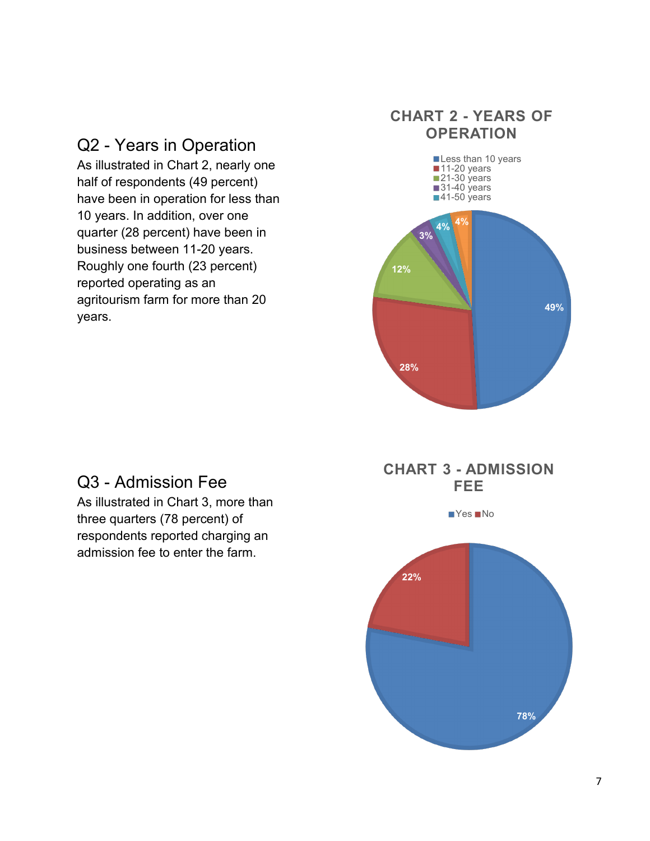# Q2 - Years in Operation

As illustrated in Chart 2, nearly one half of respondents (49 percent) have been in operation for less than 10 years. In addition, over one quarter (28 percent) have been in business between 11-20 years. Roughly one fourth (23 percent) reported operating as an agritourism farm for more than 20 years.

### **CHART 2 - YEARS OF OPERATION**



### Q3 - Admission Fee

As illustrated in Chart 3, more than three quarters (78 percent) of respondents reported charging an admission fee to enter the farm.

### **CHART 3 - ADMISSION FEE**

 $Yes$  No

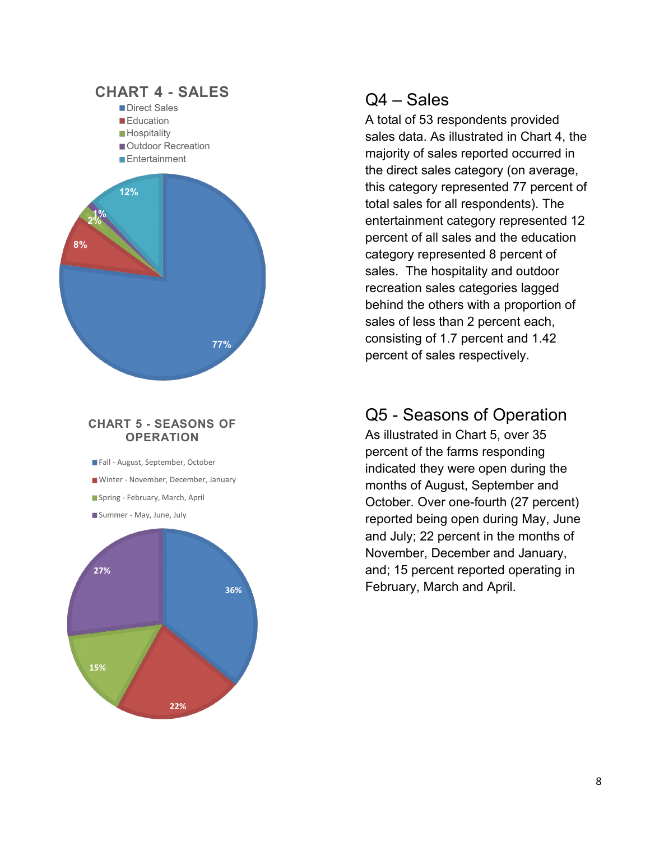

#### **CHART 5 - SEASONS OF OPERATION**

Fall - August, September, October Winter - November, December, January Spring - February, March, April Summer - May, June, July



### Q4 – Sales

A total of 53 respondents provided sales data. As illustrated in Chart 4, the majority of sales reported occurred in the direct sales category (on average, this category represented 77 percent of total sales for all respondents). The entertainment category represented 12 percent of all sales and the education category represented 8 percent of sales. The hospitality and outdoor recreation sales categories lagged behind the others with a proportion of sales of less than 2 percent each, consisting of 1.7 percent and 1.42 percent of sales respectively.

## Q5 - Seasons of Operation

As illustrated in Chart 5, over 35 percent of the farms responding indicated they were open during the months of August, September and October. Over one-fourth (27 percent) reported being open during May, June and July; 22 percent in the months of November, December and January, and; 15 percent reported operating in February, March and April. **36%**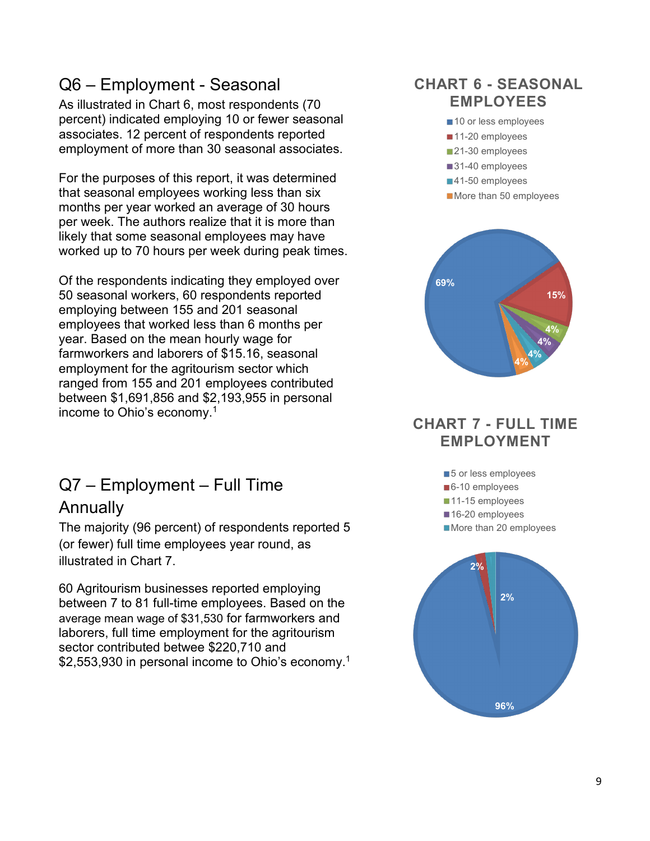## Q6 – Employment - Seasonal

As illustrated in Chart 6, most respondents (70 percent) indicated employing 10 or fewer seasonal associates. 12 percent of respondents reported employment of more than 30 seasonal associates.

For the purposes of this report, it was determined that seasonal employees working less than six months per year worked an average of 30 hours per week. The authors realize that it is more than likely that some seasonal employees may have worked up to 70 hours per week during peak times.

Of the respondents indicating they employed over 50 seasonal workers, 60 respondents reported employing between 155 and 201 seasonal employees that worked less than 6 months per year. Based on the mean hourly wage for farmworkers and laborers of \$15.16, seasonal employment for the agritourism sector which ranged from 155 and 201 employees contributed between \$1,691,856 and \$2,193,955 in personal income to Ohio's economy.1

# Q7 – Employment – Full Time

### Annually

The majority (96 percent) of respondents reported 5 (or fewer) full time employees year round, as illustrated in Chart 7.

60 Agritourism businesses reported employing between 7 to 81 full-time employees. Based on the average mean wage of \$31,530 for farmworkers and laborers, full time employment for the agritourism sector contributed betwee \$220,710 and \$2,553,930 in personal income to Ohio's economy.<sup>1</sup>

### **CHART 6 - SEASONAL EMPLOYEES**



### **CHART 7 - FULL TIME EMPLOYMENT**

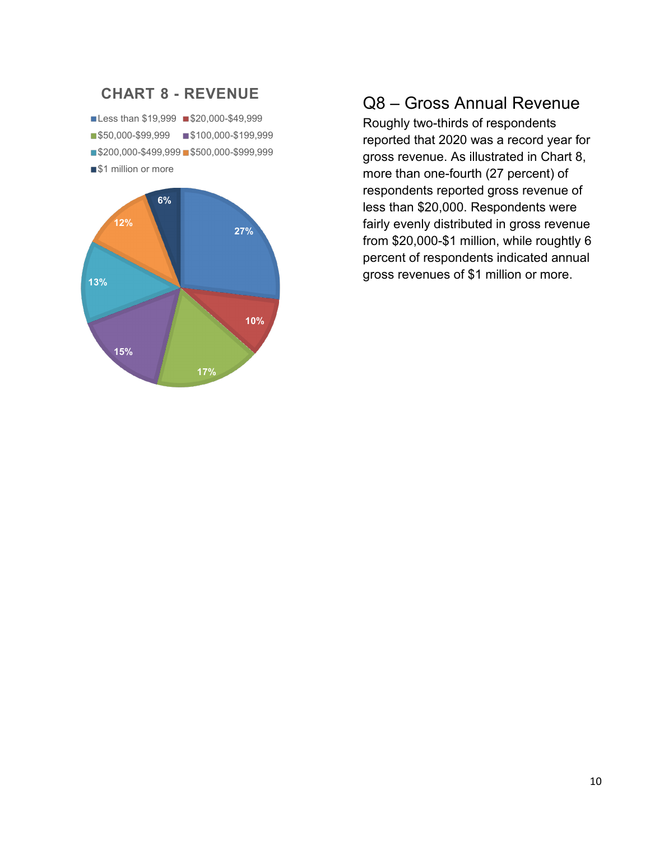

### Q8 – Gross Annual Revenue

Roughly two-thirds of respondents reported that 2020 was a record year for gross revenue. As illustrated in Chart 8, more than one-fourth (27 percent) of respondents reported gross revenue of less than \$20,000. Respondents were fairly evenly distributed in gross revenue from \$20,000-\$1 million, while roughtly 6 percent of respondents indicated annual gross revenues of \$1 million or more.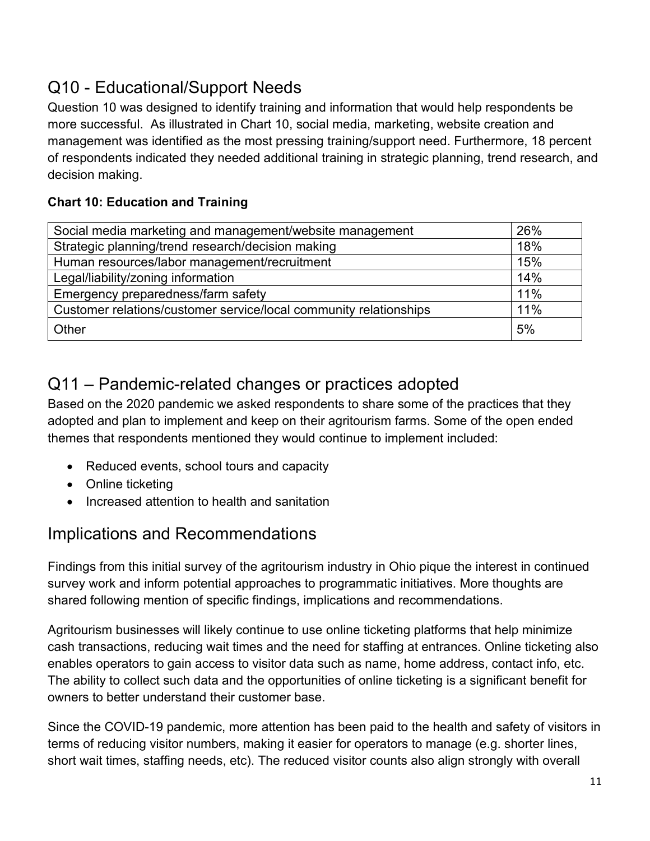# <span id="page-11-0"></span>Q10 - Educational/Support Needs

Question 10 was designed to identify training and information that would help respondents be more successful. As illustrated in Chart 10, social media, marketing, website creation and management was identified as the most pressing training/support need. Furthermore, 18 percent of respondents indicated they needed additional training in strategic planning, trend research, and decision making.

### **Chart 10: Education and Training**

| Social media marketing and management/website management          | 26% |
|-------------------------------------------------------------------|-----|
| Strategic planning/trend research/decision making                 | 18% |
| Human resources/labor management/recruitment                      | 15% |
| Legal/liability/zoning information                                | 14% |
| Emergency preparedness/farm safety                                | 11% |
| Customer relations/customer service/local community relationships | 11% |
| Other                                                             | 5%  |

# <span id="page-11-1"></span>Q11 – Pandemic-related changes or practices adopted

Based on the 2020 pandemic we asked respondents to share some of the practices that they adopted and plan to implement and keep on their agritourism farms. Some of the open ended themes that respondents mentioned they would continue to implement included:

- Reduced events, school tours and capacity
- Online ticketing
- Increased attention to health and sanitation

### <span id="page-11-2"></span>Implications and Recommendations

Findings from this initial survey of the agritourism industry in Ohio pique the interest in continued survey work and inform potential approaches to programmatic initiatives. More thoughts are shared following mention of specific findings, implications and recommendations.

Agritourism businesses will likely continue to use online ticketing platforms that help minimize cash transactions, reducing wait times and the need for staffing at entrances. Online ticketing also enables operators to gain access to visitor data such as name, home address, contact info, etc. The ability to collect such data and the opportunities of online ticketing is a significant benefit for owners to better understand their customer base.

Since the COVID-19 pandemic, more attention has been paid to the health and safety of visitors in terms of reducing visitor numbers, making it easier for operators to manage (e.g. shorter lines, short wait times, staffing needs, etc). The reduced visitor counts also align strongly with overall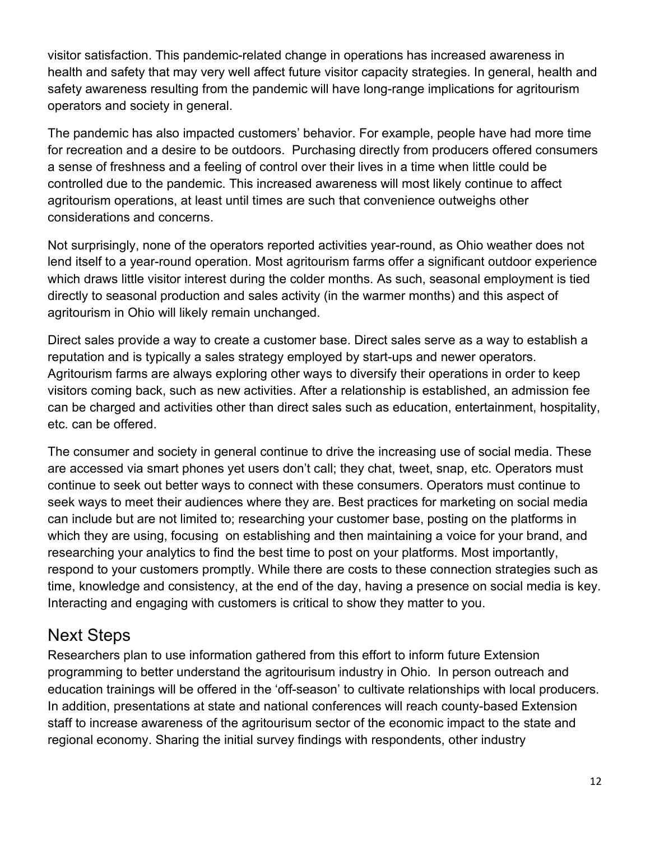visitor satisfaction. This pandemic-related change in operations has increased awareness in health and safety that may very well affect future visitor capacity strategies. In general, health and safety awareness resulting from the pandemic will have long-range implications for agritourism operators and society in general.

The pandemic has also impacted customers' behavior. For example, people have had more time for recreation and a desire to be outdoors. Purchasing directly from producers offered consumers a sense of freshness and a feeling of control over their lives in a time when little could be controlled due to the pandemic. This increased awareness will most likely continue to affect agritourism operations, at least until times are such that convenience outweighs other considerations and concerns.

Not surprisingly, none of the operators reported activities year-round, as Ohio weather does not lend itself to a year-round operation. Most agritourism farms offer a significant outdoor experience which draws little visitor interest during the colder months. As such, seasonal employment is tied directly to seasonal production and sales activity (in the warmer months) and this aspect of agritourism in Ohio will likely remain unchanged.

Direct sales provide a way to create a customer base. Direct sales serve as a way to establish a reputation and is typically a sales strategy employed by start-ups and newer operators. Agritourism farms are always exploring other ways to diversify their operations in order to keep visitors coming back, such as new activities. After a relationship is established, an admission fee can be charged and activities other than direct sales such as education, entertainment, hospitality, etc. can be offered.

The consumer and society in general continue to drive the increasing use of social media. These are accessed via smart phones yet users don't call; they chat, tweet, snap, etc. Operators must continue to seek out better ways to connect with these consumers. Operators must continue to seek ways to meet their audiences where they are. Best practices for marketing on social media can include but are not limited to; researching your customer base, posting on the platforms in which they are using, focusing on establishing and then maintaining a voice for your brand, and researching your analytics to find the best time to post on your platforms. Most importantly, respond to your customers promptly. While there are costs to these connection strategies such as time, knowledge and consistency, at the end of the day, having a presence on social media is key. Interacting and engaging with customers is critical to show they matter to you.

### <span id="page-12-0"></span>Next Steps

Researchers plan to use information gathered from this effort to inform future Extension programming to better understand the agritourisum industry in Ohio. In person outreach and education trainings will be offered in the 'off-season' to cultivate relationships with local producers. In addition, presentations at state and national conferences will reach county-based Extension staff to increase awareness of the agritourisum sector of the economic impact to the state and regional economy. Sharing the initial survey findings with respondents, other industry